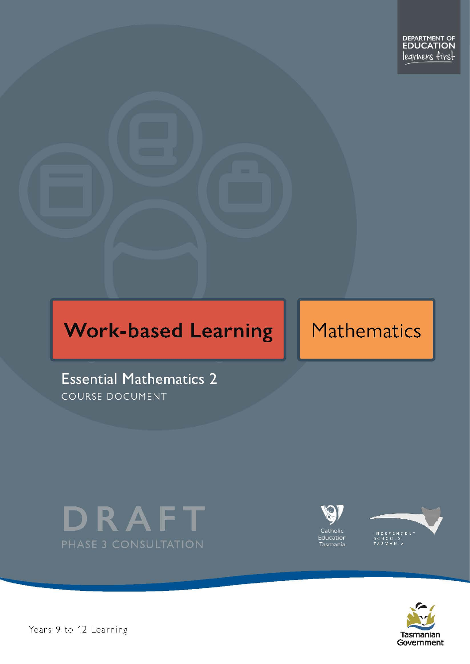# **Work-based Learning**

# **Mathematics**

**Essential Mathematics 2** COURSE DOCUMENT









Pears 9 to 12 Learning and the essential method of 2 Page 1 of 28 Page 1 of 28 Page 1 of 28 Page 1 of 28 Page 1 of 28 Page 1 of 28 Page 1 of 28 Page 1 of 28 Page 1 of 28 Page 1 of 28 Page 1 of 28 Page 1 of 28 Page 1 of 28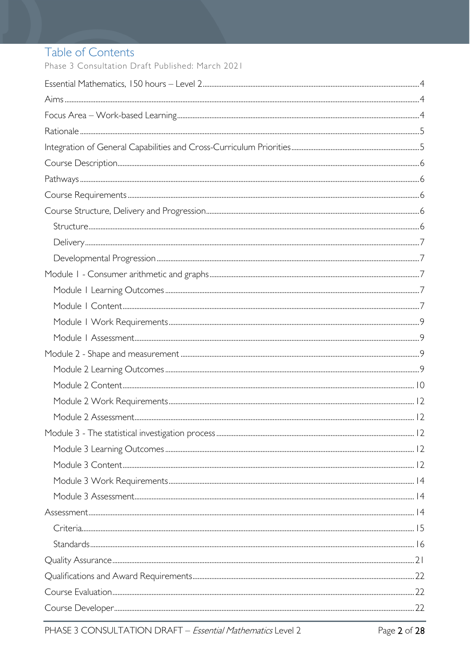# Table of Contents

Phase 3 Consultation Draft Published: March 2021

| $Standards  \  \,  16$ |  |
|------------------------|--|
|                        |  |
|                        |  |
|                        |  |
|                        |  |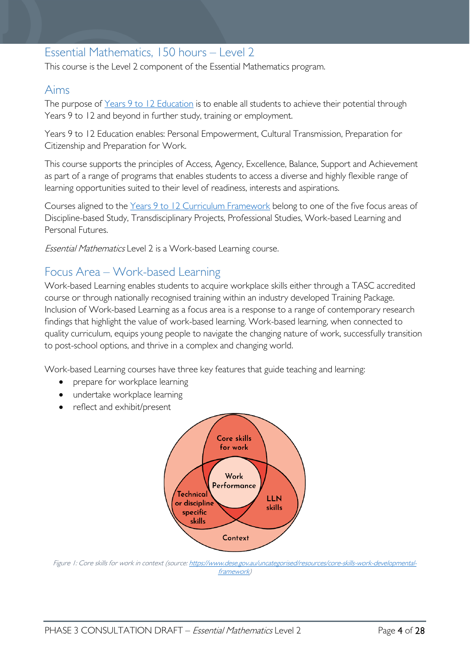# <span id="page-3-0"></span>Essential Mathematics, 150 hours – Level 2

This course is the Level 2 component of the Essential Mathematics program.

# <span id="page-3-1"></span>Aims

The purpose of Years 9 to 12 [Education](https://publicdocumentcentre.education.tas.gov.au/library/Shared%20Documents/Years-9-to-12-Education-Framework.pdf) is to enable all students to achieve their potential through Years 9 to 12 and beyond in further study, training or employment.

Years 9 to 12 Education enables: Personal Empowerment, Cultural Transmission, Preparation for Citizenship and Preparation for Work.

This course supports the principles of Access, Agency, Excellence, Balance, Support and Achievement as part of a range of programs that enables students to access a diverse and highly flexible range of learning opportunities suited to their level of readiness, interests and aspirations.

Courses aligned to the Years 9 to 12 Curriculum [Framework](https://publicdocumentcentre.education.tas.gov.au/library/Shared%20Documents/Education%209-12%20Frameworks%20A3%20WEB%20POSTER.pdf) belong to one of the five focus areas of Discipline-based Study, Transdisciplinary Projects, Professional Studies, Work-based Learning and Personal Futures.

Essential Mathematics Level 2 is a Work-based Learning course.

# <span id="page-3-2"></span>Focus Area – Work-based Learning

Work-based Learning enables students to acquire workplace skills either through a TASC accredited course or through nationally recognised training within an industry developed Training Package. Inclusion of Work-based Learning as a focus area is a response to a range of contemporary research findings that highlight the value of work-based learning. Work-based learning, when connected to quality curriculum, equips young people to navigate the changing nature of work, successfully transition to post-school options, and thrive in a complex and changing world.

Work-based Learning courses have three key features that guide teaching and learning:

- prepare for workplace learning
- undertake workplace learning
- reflect and exhibit/present



Figure 1: Core skills for work in context (source[: https://www.dese.gov.au/uncategorised/resources/core-skills-work-developmental](https://www.dese.gov.au/uncategorised/resources/core-skills-work-developmental-framework)[framework\)](https://www.dese.gov.au/uncategorised/resources/core-skills-work-developmental-framework)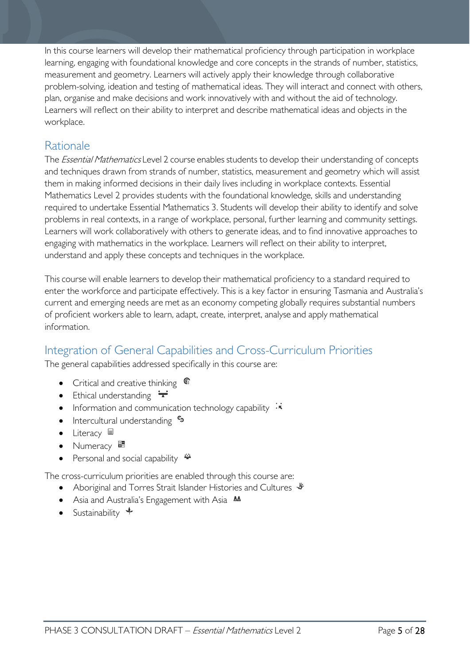In this course learners will develop their mathematical proficiency through participation in workplace learning, engaging with foundational knowledge and core concepts in the strands of number, statistics, measurement and geometry. Learners will actively apply their knowledge through collaborative problem-solving, ideation and testing of mathematical ideas. They will interact and connect with others, plan, organise and make decisions and work innovatively with and without the aid of technology. Learners will reflect on their ability to interpret and describe mathematical ideas and objects in the workplace.

# <span id="page-4-0"></span>Rationale

The *Essential Mathematics* Level 2 course enables students to develop their understanding of concepts and techniques drawn from strands of number, statistics, measurement and geometry which will assist them in making informed decisions in their daily lives including in workplace contexts. Essential Mathematics Level 2 provides students with the foundational knowledge, skills and understanding required to undertake Essential Mathematics 3. Students will develop their ability to identify and solve problems in real contexts, in a range of workplace, personal, further learning and community settings. Learners will work collaboratively with others to generate ideas, and to find innovative approaches to engaging with mathematics in the workplace. Learners will reflect on their ability to interpret, understand and apply these concepts and techniques in the workplace.

This course will enable learners to develop their mathematical proficiency to a standard required to enter the workforce and participate effectively. This is a key factor in ensuring Tasmania and Australia's current and emerging needs are met as an economy competing globally requires substantial numbers of proficient workers able to learn, adapt, create, interpret, analyse and apply mathematical information.

# <span id="page-4-1"></span>Integration of General Capabilities and Cross-Curriculum Priorities

The general capabilities addressed specifically in this course are:

- Critical and creative thinking  $\mathbb{C}$
- Ethical understanding  $\div$
- Information and communication technology capability  $\cdot \star$
- Intercultural understanding •
- Literacy  $\blacksquare$
- Numeracy
- Personal and social capability  $\ddot{\bullet}$

The cross-curriculum priorities are enabled through this course are:

- Aboriginal and Torres Strait Islander Histories and Cultures  $\mathscr W$
- Asia and Australia's Engagement with Asia **M**
- Sustainability  $\triangleleft$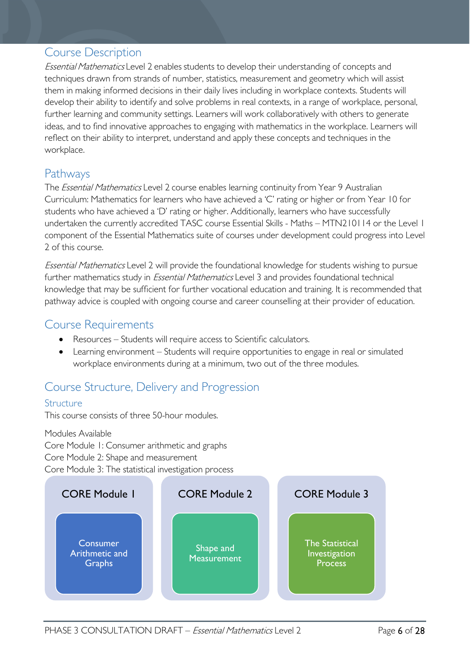# <span id="page-5-0"></span>Course Description

Essential Mathematics Level 2 enables students to develop their understanding of concepts and techniques drawn from strands of number, statistics, measurement and geometry which will assist them in making informed decisions in their daily lives including in workplace contexts. Students will develop their ability to identify and solve problems in real contexts, in a range of workplace, personal, further learning and community settings. Learners will work collaboratively with others to generate ideas, and to find innovative approaches to engaging with mathematics in the workplace. Learners will reflect on their ability to interpret, understand and apply these concepts and techniques in the workplace.

# <span id="page-5-1"></span>Pathways

The *Essential Mathematics* Level 2 course enables learning continuity from Year 9 Australian Curriculum: Mathematics for learners who have achieved a 'C' rating or higher or from Year 10 for students who have achieved a 'D' rating or higher. Additionally, learners who have successfully undertaken the currently accredited TASC course Essential Skills - Maths - MTN210114 or the Level 1 component of the Essential Mathematics suite of courses under development could progress into Level 2 of this course.

Essential Mathematics Level 2 will provide the foundational knowledge for students wishing to pursue further mathematics study in *Essential Mathematics* Level 3 and provides foundational technical knowledge that may be sufficient for further vocational education and training. It is recommended that pathway advice is coupled with ongoing course and career counselling at their provider of education.

# <span id="page-5-2"></span>Course Requirements

- Resources Students will require access to Scientific calculators.
- Learning environment Students will require opportunities to engage in real or simulated workplace environments during at a minimum, two out of the three modules.

# <span id="page-5-3"></span>Course Structure, Delivery and Progression

### <span id="page-5-4"></span>Structure

This course consists of three 50-hour modules.

Modules Available Core Module 1: Consumer arithmetic and graphs Core Module 2: Shape and measurement Core Module 3: The statistical investigation process

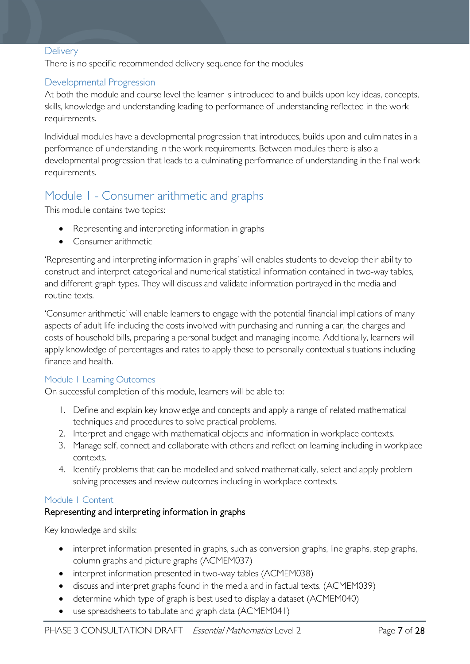#### <span id="page-6-0"></span>**Delivery**

There is no specific recommended delivery sequence for the modules

#### <span id="page-6-1"></span>Developmental Progression

At both the module and course level the learner is introduced to and builds upon key ideas, concepts, skills, knowledge and understanding leading to performance of understanding reflected in the work requirements.

Individual modules have a developmental progression that introduces, builds upon and culminates in a performance of understanding in the work requirements. Between modules there is also a developmental progression that leads to a culminating performance of understanding in the final work requirements.

# <span id="page-6-2"></span>Module 1 - Consumer arithmetic and graphs

This module contains two topics:

- Representing and interpreting information in graphs
- Consumer arithmetic

'Representing and interpreting information in graphs' will enables students to develop their ability to construct and interpret categorical and numerical statistical information contained in two-way tables, and different graph types. They will discuss and validate information portrayed in the media and routine texts.

'Consumer arithmetic' will enable learners to engage with the potential financial implications of many aspects of adult life including the costs involved with purchasing and running a car, the charges and costs of household bills, preparing a personal budget and managing income. Additionally, learners will apply knowledge of percentages and rates to apply these to personally contextual situations including finance and health.

#### <span id="page-6-3"></span>Module 1 Learning Outcomes

On successful completion of this module, learners will be able to:

- 1. Define and explain key knowledge and concepts and apply a range of related mathematical techniques and procedures to solve practical problems.
- 2. Interpret and engage with mathematical objects and information in workplace contexts.
- 3. Manage self, connect and collaborate with others and reflect on learning including in workplace contexts.
- 4. Identify problems that can be modelled and solved mathematically, select and apply problem solving processes and review outcomes including in workplace contexts.

#### <span id="page-6-4"></span>Module 1 Content

#### Representing and interpreting information in graphs

- interpret information presented in graphs, such as conversion graphs, line graphs, step graphs, column graphs and picture graphs (ACMEM037)
- interpret information presented in two-way tables (ACMEM038)
- discuss and interpret graphs found in the media and in factual texts. (ACMEM039)
- determine which type of graph is best used to display a dataset (ACMEM040)
- use spreadsheets to tabulate and graph data (ACMEM041)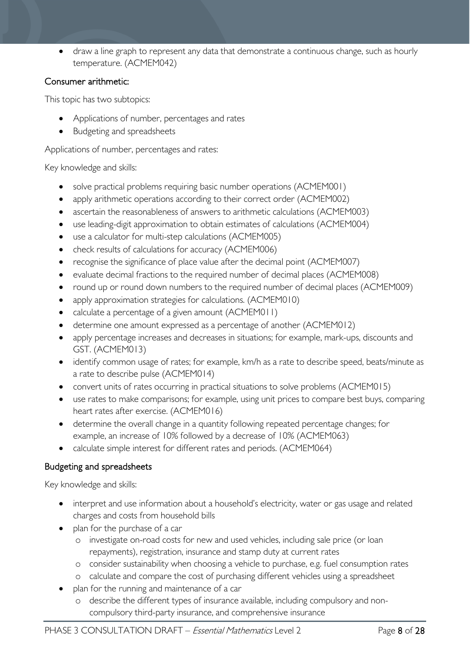• draw a line graph to represent any data that demonstrate a continuous change, such as hourly temperature. (ACMEM042)

### Consumer arithmetic:

This topic has two subtopics:

- Applications of number, percentages and rates
- Budgeting and spreadsheets

Applications of number, percentages and rates:

#### Key knowledge and skills:

- solve practical problems requiring basic number operations (ACMEM001)
- apply arithmetic operations according to their correct order (ACMEM002)
- ascertain the reasonableness of answers to arithmetic calculations (ACMEM003)
- use leading-digit approximation to obtain estimates of calculations (ACMEM004)
- use a calculator for multi-step calculations (ACMEM005)
- check results of calculations for accuracy (ACMEM006)
- recognise the significance of place value after the decimal point (ACMEM007)
- evaluate decimal fractions to the required number of decimal places (ACMEM008)
- round up or round down numbers to the required number of decimal places (ACMEM009)
- apply approximation strategies for calculations. (ACMEM010)
- calculate a percentage of a given amount (ACMEM011)
- determine one amount expressed as a percentage of another (ACMEM012)
- apply percentage increases and decreases in situations; for example, mark-ups, discounts and GST. (ACMEM013)
- identify common usage of rates; for example, km/h as a rate to describe speed, beats/minute as a rate to describe pulse (ACMEM014)
- convert units of rates occurring in practical situations to solve problems (ACMEM015)
- use rates to make comparisons; for example, using unit prices to compare best buys, comparing heart rates after exercise. (ACMEM016)
- determine the overall change in a quantity following repeated percentage changes; for example, an increase of 10% followed by a decrease of 10% (ACMEM063)
- calculate simple interest for different rates and periods. (ACMEM064)

### Budgeting and spreadsheets

- interpret and use information about a household's electricity, water or gas usage and related charges and costs from household bills
- plan for the purchase of a car
	- o investigate on-road costs for new and used vehicles, including sale price (or loan repayments), registration, insurance and stamp duty at current rates
	- o consider sustainability when choosing a vehicle to purchase, e.g. fuel consumption rates
	- o calculate and compare the cost of purchasing different vehicles using a spreadsheet
- plan for the running and maintenance of a car
	- o describe the different types of insurance available, including compulsory and noncompulsory third-party insurance, and comprehensive insurance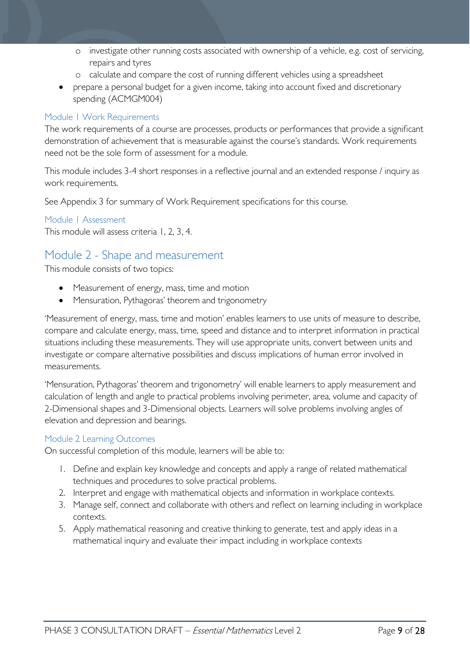- o investigate other running costs associated with ownership of a vehicle, e.g. cost of servicing, repairs and tyres
- o calculate and compare the cost of running different vehicles using a spreadsheet
- prepare a personal budget for a given income, taking into account fixed and discretionary spending (ACMGM004)

#### <span id="page-8-0"></span>Module 1 Work Requirements

The work requirements of a course are processes, products or performances that provide a significant demonstration of achievement that is measurable against the course's standards. Work requirements need not be the sole form of assessment for a module.

This module includes 3-4 short responses in a reflective journal and an extended response / inquiry as work requirements.

See Appendix 3 for summary of Work Requirement specifications for this course.

#### <span id="page-8-1"></span>Module 1 Assessment

This module will assess criteria 1, 2, 3, 4.

# <span id="page-8-2"></span>Module 2 - Shape and measurement

This module consists of two topics:

- Measurement of energy, mass, time and motion
- Mensuration, Pythagoras' theorem and trigonometry

'Measurement of energy, mass, time and motion' enables learners to use units of measure to describe, compare and calculate energy, mass, time, speed and distance and to interpret information in practical situations including these measurements. They will use appropriate units, convert between units and investigate or compare alternative possibilities and discuss implications of human error involved in measurements.

'Mensuration, Pythagoras' theorem and trigonometry' will enable learners to apply measurement and calculation of length and angle to practical problems involving perimeter, area, volume and capacity of 2-Dimensional shapes and 3-Dimensional objects. Learners will solve problems involving angles of elevation and depression and bearings.

#### <span id="page-8-3"></span>Module 2 Learning Outcomes

On successful completion of this module, learners will be able to:

- 1. Define and explain key knowledge and concepts and apply a range of related mathematical techniques and procedures to solve practical problems.
- 2. Interpret and engage with mathematical objects and information in workplace contexts.
- 3. Manage self, connect and collaborate with others and reflect on learning including in workplace contexts.
- 5. Apply mathematical reasoning and creative thinking to generate, test and apply ideas in a mathematical inquiry and evaluate their impact including in workplace contexts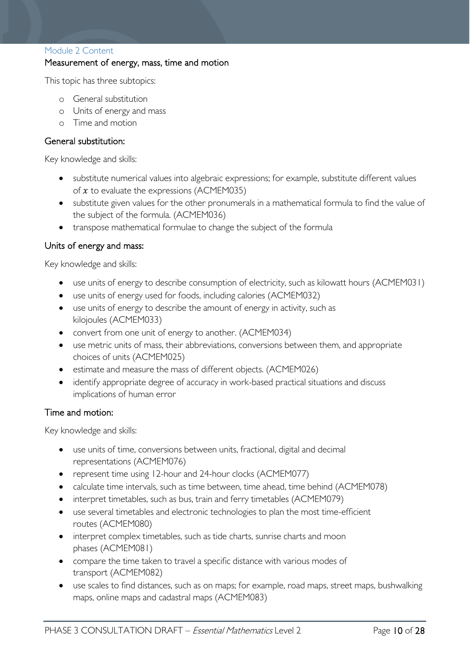#### <span id="page-9-0"></span>Module 2 Content

#### Measurement of energy, mass, time and motion

This topic has three subtopics:

- o General substitution
- o Units of energy and mass
- o Time and motion

#### General substitution:

Key knowledge and skills:

- substitute numerical values into algebraic expressions; for example, substitute different values of  $x$  to evaluate the expressions (ACMEM035)
- substitute given values for the other pronumerals in a mathematical formula to find the value of the subject of the formula. (ACMEM036)
- transpose mathematical formulae to change the subject of the formula

#### Units of energy and mass:

Key knowledge and skills:

- use units of energy to describe consumption of electricity, such as kilowatt hours (ACMEM031)
- use units of energy used for foods, including calories (ACMEM032)
- use units of energy to describe the amount of energy in activity, such as kilojoules (ACMEM033)
- convert from one unit of energy to another. (ACMEM034)
- use metric units of mass, their abbreviations, conversions between them, and appropriate choices of units (ACMEM025)
- estimate and measure the mass of different objects. (ACMEM026)
- identify appropriate degree of accuracy in work-based practical situations and discuss implications of human error

#### Time and motion:

- use units of time, conversions between units, fractional, digital and decimal representations (ACMEM076)
- represent time using 12-hour and 24-hour clocks (ACMEM077)
- calculate time intervals, such as time between, time ahead, time behind (ACMEM078)
- interpret timetables, such as bus, train and ferry timetables (ACMEM079)
- use several timetables and electronic technologies to plan the most time-efficient routes (ACMEM080)
- interpret complex timetables, such as tide charts, sunrise charts and moon phases (ACMEM081)
- compare the time taken to travel a specific distance with various modes of transport (ACMEM082)
- use scales to find distances, such as on maps; for example, road maps, street maps, bushwalking maps, online maps and cadastral maps (ACMEM083)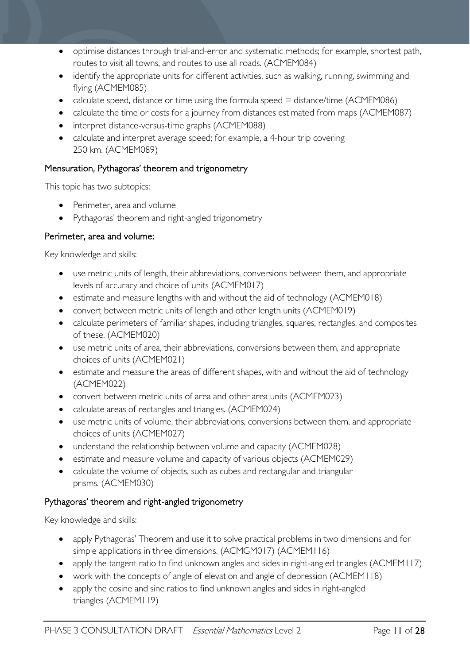- optimise distances through trial-and-error and systematic methods; for example, shortest path, routes to visit all towns, and routes to use all roads. (ACMEM084)
- identify the appropriate units for different activities, such as walking, running, swimming and flying (ACMEM085)
- calculate speed, distance or time using the formula speed  $=$  distance/time (ACMEM086)
- calculate the time or costs for a journey from distances estimated from maps (ACMEM087)
- interpret distance-versus-time graphs (ACMEM088)
- calculate and interpret average speed; for example, a 4-hour trip covering 250 km. (ACMEM089)

### Mensuration, Pythagoras' theorem and trigonometry

This topic has two subtopics:

- Perimeter, area and volume
- Pythagoras' theorem and right-angled trigonometry

### Perimeter, area and volume:

Key knowledge and skills:

- use metric units of length, their abbreviations, conversions between them, and appropriate levels of accuracy and choice of units (ACMEM017)
- estimate and measure lengths with and without the aid of technology (ACMEM018)
- convert between metric units of length and other length units (ACMEM019)
- calculate perimeters of familiar shapes, including triangles, squares, rectangles, and composites of these. (ACMEM020)
- use metric units of area, their abbreviations, conversions between them, and appropriate choices of units (ACMEM021)
- estimate and measure the areas of different shapes, with and without the aid of technology (ACMEM022)
- convert between metric units of area and other area units (ACMEM023)
- calculate areas of rectangles and triangles. (ACMEM024)
- use metric units of volume, their abbreviations, conversions between them, and appropriate choices of units (ACMEM027)
- understand the relationship between volume and capacity (ACMEM028)
- estimate and measure volume and capacity of various objects (ACMEM029)
- calculate the volume of objects, such as cubes and rectangular and triangular prisms. (ACMEM030)

# Pythagoras' theorem and right-angled trigonometry

- apply Pythagoras' Theorem and use it to solve practical problems in two dimensions and for simple applications in three dimensions. (ACMGM017) (ACMEM116)
- apply the tangent ratio to find unknown angles and sides in right-angled triangles (ACMEM117)
- work with the concepts of angle of elevation and angle of depression (ACMEM118)
- apply the cosine and sine ratios to find unknown angles and sides in right-angled triangles (ACMEM119)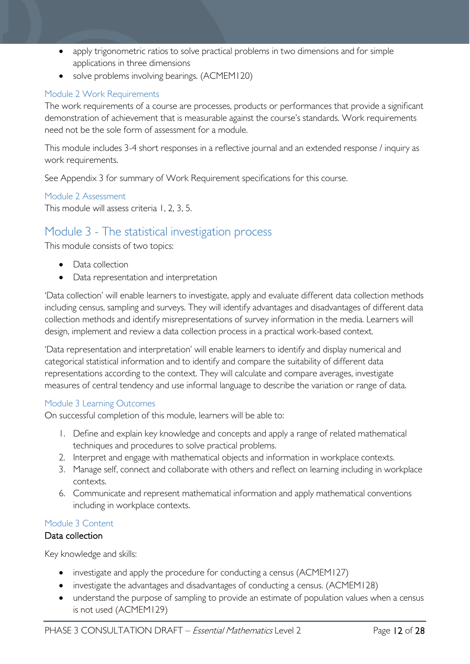- apply trigonometric ratios to solve practical problems in two dimensions and for simple applications in three dimensions
- solve problems involving bearings. (ACMEM120)

### <span id="page-11-0"></span>Module 2 Work Requirements

The work requirements of a course are processes, products or performances that provide a significant demonstration of achievement that is measurable against the course's standards. Work requirements need not be the sole form of assessment for a module.

This module includes 3-4 short responses in a reflective journal and an extended response / inquiry as work requirements.

See Appendix 3 for summary of Work Requirement specifications for this course.

<span id="page-11-1"></span>Module 2 Assessment This module will assess criteria 1, 2, 3, 5.

# <span id="page-11-2"></span>Module 3 - The statistical investigation process

This module consists of two topics:

- Data collection
- Data representation and interpretation

'Data collection' will enable learners to investigate, apply and evaluate different data collection methods including census, sampling and surveys. They will identify advantages and disadvantages of different data collection methods and identify misrepresentations of survey information in the media. Learners will design, implement and review a data collection process in a practical work-based context.

'Data representation and interpretation' will enable learners to identify and display numerical and categorical statistical information and to identify and compare the suitability of different data representations according to the context. They will calculate and compare averages, investigate measures of central tendency and use informal language to describe the variation or range of data.

#### <span id="page-11-3"></span>Module 3 Learning Outcomes

On successful completion of this module, learners will be able to:

- 1. Define and explain key knowledge and concepts and apply a range of related mathematical techniques and procedures to solve practical problems.
- 2. Interpret and engage with mathematical objects and information in workplace contexts.
- 3. Manage self, connect and collaborate with others and reflect on learning including in workplace contexts.
- 6. Communicate and represent mathematical information and apply mathematical conventions including in workplace contexts.

#### <span id="page-11-4"></span>Module 3 Content

#### Data collection

- investigate and apply the procedure for conducting a census (ACMEM127)
- investigate the advantages and disadvantages of conducting a census. (ACMEM128)
- understand the purpose of sampling to provide an estimate of population values when a census is not used (ACMEM129)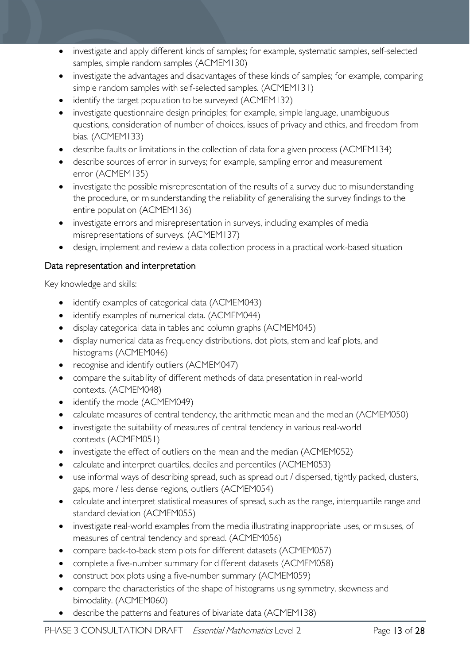- investigate and apply different kinds of samples; for example, systematic samples, self-selected samples, simple random samples (ACMEM130)
- investigate the advantages and disadvantages of these kinds of samples; for example, comparing simple random samples with self-selected samples. (ACMEM131)
- identify the target population to be surveyed (ACMEM132)
- investigate questionnaire design principles; for example, simple language, unambiguous questions, consideration of number of choices, issues of privacy and ethics, and freedom from bias. (ACMEM133)
- describe faults or limitations in the collection of data for a given process (ACMEM134)
- describe sources of error in surveys; for example, sampling error and measurement error (ACMEM135)
- investigate the possible misrepresentation of the results of a survey due to misunderstanding the procedure, or misunderstanding the reliability of generalising the survey findings to the entire population (ACMEM136)
- investigate errors and misrepresentation in surveys, including examples of media misrepresentations of surveys. (ACMEM137)
- design, implement and review a data collection process in a practical work-based situation

### Data representation and interpretation

- identify examples of categorical data (ACMEM043)
- identify examples of numerical data. (ACMEM044)
- display categorical data in tables and column graphs (ACMEM045)
- display numerical data as frequency distributions, dot plots, stem and leaf plots, and histograms (ACMEM046)
- recognise and identify outliers (ACMEM047)
- compare the suitability of different methods of data presentation in real-world contexts. (ACMEM048)
- identify the mode (ACMEM049)
- calculate measures of central tendency, the arithmetic mean and the median (ACMEM050)
- investigate the suitability of measures of central tendency in various real-world contexts (ACMEM051)
- investigate the effect of outliers on the mean and the median (ACMEM052)
- calculate and interpret quartiles, deciles and percentiles (ACMEM053)
- use informal ways of describing spread, such as spread out / dispersed, tightly packed, clusters, gaps, more / less dense regions, outliers (ACMEM054)
- calculate and interpret statistical measures of spread, such as the range, interquartile range and standard deviation (ACMEM055)
- investigate real-world examples from the media illustrating inappropriate uses, or misuses, of measures of central tendency and spread. (ACMEM056)
- compare back-to-back stem plots for different datasets (ACMEM057)
- complete a five-number summary for different datasets (ACMEM058)
- construct box plots using a five-number summary (ACMEM059)
- compare the characteristics of the shape of histograms using symmetry, skewness and bimodality. (ACMEM060)
- describe the patterns and features of bivariate data (ACMEM138)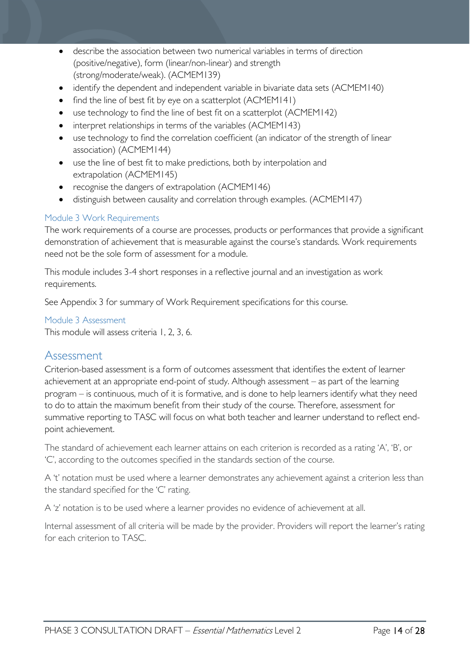- describe the association between two numerical variables in terms of direction (positive/negative), form (linear/non-linear) and strength (strong/moderate/weak). (ACMEM139)
- identify the dependent and independent variable in bivariate data sets (ACMEM140)
- find the line of best fit by eye on a scatterplot (ACMEM141)
- use technology to find the line of best fit on a scatterplot (ACMEM142)
- interpret relationships in terms of the variables (ACMEM143)
- use technology to find the correlation coefficient (an indicator of the strength of linear association) (ACMEM144)
- use the line of best fit to make predictions, both by interpolation and extrapolation (ACMEM145)
- recognise the dangers of extrapolation (ACMEM146)
- distinguish between causality and correlation through examples. (ACMEM147)

#### <span id="page-13-0"></span>Module 3 Work Requirements

The work requirements of a course are processes, products or performances that provide a significant demonstration of achievement that is measurable against the course's standards. Work requirements need not be the sole form of assessment for a module.

This module includes 3-4 short responses in a reflective journal and an investigation as work requirements.

See Appendix 3 for summary of Work Requirement specifications for this course.

#### <span id="page-13-1"></span>Module 3 Assessment

This module will assess criteria 1, 2, 3, 6.

# <span id="page-13-2"></span>Assessment

Criterion-based assessment is a form of outcomes assessment that identifies the extent of learner achievement at an appropriate end-point of study. Although assessment – as part of the learning program – is continuous, much of it is formative, and is done to help learners identify what they need to do to attain the maximum benefit from their study of the course. Therefore, assessment for summative reporting to TASC will focus on what both teacher and learner understand to reflect endpoint achievement.

The standard of achievement each learner attains on each criterion is recorded as a rating 'A', 'B', or 'C', according to the outcomes specified in the standards section of the course.

A 't' notation must be used where a learner demonstrates any achievement against a criterion less than the standard specified for the 'C' rating.

A 'z' notation is to be used where a learner provides no evidence of achievement at all.

Internal assessment of all criteria will be made by the provider. Providers will report the learner's rating for each criterion to TASC.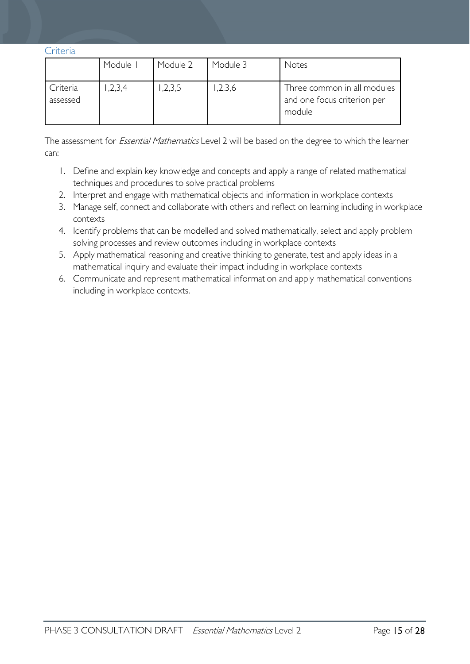<span id="page-14-0"></span>Criteria

|                      | Module I | Module 2 | Module 3 | Notes                                                                |
|----------------------|----------|----------|----------|----------------------------------------------------------------------|
| Criteria<br>assessed | 1,2,3,4  | ,2,3,5   | ,2,3,6   | Three common in all modules<br>and one focus criterion per<br>module |

The assessment for *Essential Mathematics* Level 2 will be based on the degree to which the learner can:

- 1. Define and explain key knowledge and concepts and apply a range of related mathematical techniques and procedures to solve practical problems
- 2. Interpret and engage with mathematical objects and information in workplace contexts
- 3. Manage self, connect and collaborate with others and reflect on learning including in workplace contexts
- 4. Identify problems that can be modelled and solved mathematically, select and apply problem solving processes and review outcomes including in workplace contexts
- 5. Apply mathematical reasoning and creative thinking to generate, test and apply ideas in a mathematical inquiry and evaluate their impact including in workplace contexts
- 6. Communicate and represent mathematical information and apply mathematical conventions including in workplace contexts.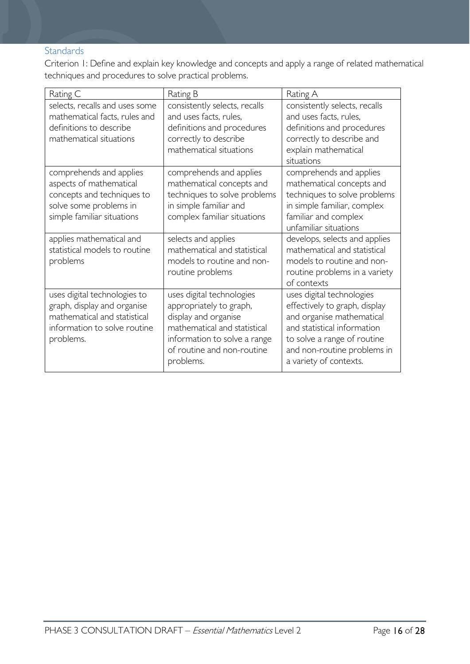# <span id="page-15-0"></span>**Standards**

Criterion 1: Define and explain key knowledge and concepts and apply a range of related mathematical techniques and procedures to solve practical problems.

| Rating C                                                                                                                                 | Rating B                                                                                                                                                                                | Rating A                                                                                                                                                                                                       |
|------------------------------------------------------------------------------------------------------------------------------------------|-----------------------------------------------------------------------------------------------------------------------------------------------------------------------------------------|----------------------------------------------------------------------------------------------------------------------------------------------------------------------------------------------------------------|
| selects, recalls and uses some<br>mathematical facts, rules and<br>definitions to describe<br>mathematical situations                    | consistently selects, recalls<br>and uses facts, rules,<br>definitions and procedures<br>correctly to describe<br>mathematical situations                                               | consistently selects, recalls<br>and uses facts, rules,<br>definitions and procedures<br>correctly to describe and<br>explain mathematical<br>situations                                                       |
| comprehends and applies<br>aspects of mathematical<br>concepts and techniques to<br>solve some problems in<br>simple familiar situations | comprehends and applies<br>mathematical concepts and<br>techniques to solve problems<br>in simple familiar and<br>complex familiar situations                                           | comprehends and applies<br>mathematical concepts and<br>techniques to solve problems<br>in simple familiar, complex<br>familiar and complex<br>unfamiliar situations                                           |
| applies mathematical and<br>statistical models to routine<br>problems                                                                    | selects and applies<br>mathematical and statistical<br>models to routine and non-<br>routine problems                                                                                   | develops, selects and applies<br>mathematical and statistical<br>models to routine and non-<br>routine problems in a variety<br>of contexts                                                                    |
| uses digital technologies to<br>graph, display and organise<br>mathematical and statistical<br>information to solve routine<br>problems. | uses digital technologies<br>appropriately to graph,<br>display and organise<br>mathematical and statistical<br>information to solve a range<br>of routine and non-routine<br>problems. | uses digital technologies<br>effectively to graph, display<br>and organise mathematical<br>and statistical information<br>to solve a range of routine<br>and non-routine problems in<br>a variety of contexts. |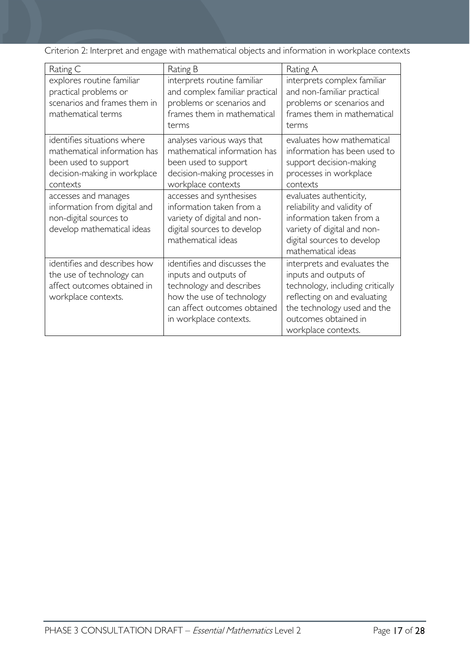Criterion 2: Interpret and engage with mathematical objects and information in workplace contexts

| Rating C                                                                                                                        | Rating B                                                                                                                                                                 | Rating A                                                                                                                                                                                                |
|---------------------------------------------------------------------------------------------------------------------------------|--------------------------------------------------------------------------------------------------------------------------------------------------------------------------|---------------------------------------------------------------------------------------------------------------------------------------------------------------------------------------------------------|
| explores routine familiar<br>practical problems or<br>scenarios and frames them in<br>mathematical terms                        | interprets routine familiar<br>and complex familiar practical<br>problems or scenarios and<br>frames them in mathematical<br>terms                                       | interprets complex familiar<br>and non-familiar practical<br>problems or scenarios and<br>frames them in mathematical<br>terms                                                                          |
| identifies situations where<br>mathematical information has<br>been used to support<br>decision-making in workplace<br>contexts | analyses various ways that<br>mathematical information has<br>been used to support<br>decision-making processes in<br>workplace contexts                                 | evaluates how mathematical<br>information has been used to<br>support decision-making<br>processes in workplace<br>contexts                                                                             |
| accesses and manages<br>information from digital and<br>non-digital sources to<br>develop mathematical ideas                    | accesses and synthesises<br>information taken from a<br>variety of digital and non-<br>digital sources to develop<br>mathematical ideas                                  | evaluates authenticity,<br>reliability and validity of<br>information taken from a<br>variety of digital and non-<br>digital sources to develop<br>mathematical ideas                                   |
| identifies and describes how<br>the use of technology can<br>affect outcomes obtained in<br>workplace contexts.                 | identifies and discusses the<br>inputs and outputs of<br>technology and describes<br>how the use of technology<br>can affect outcomes obtained<br>in workplace contexts. | interprets and evaluates the<br>inputs and outputs of<br>technology, including critically<br>reflecting on and evaluating<br>the technology used and the<br>outcomes obtained in<br>workplace contexts. |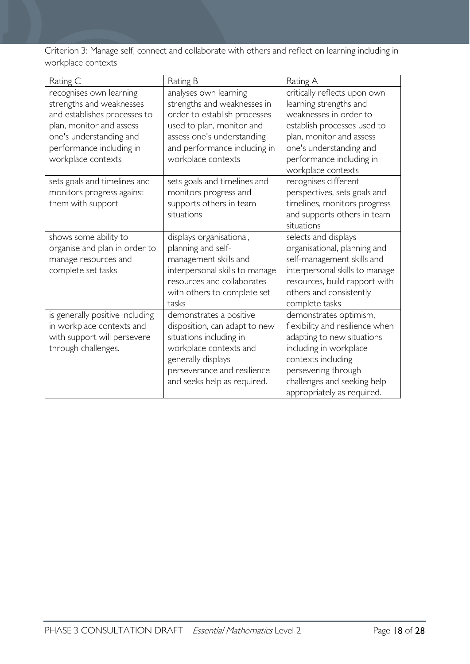Criterion 3: Manage self, connect and collaborate with others and reflect on learning including in workplace contexts

| Rating C                                                                                                                                                                                     | Rating B                                                                                                                                                                                              | Rating A                                                                                                                                                                                                                    |
|----------------------------------------------------------------------------------------------------------------------------------------------------------------------------------------------|-------------------------------------------------------------------------------------------------------------------------------------------------------------------------------------------------------|-----------------------------------------------------------------------------------------------------------------------------------------------------------------------------------------------------------------------------|
| recognises own learning<br>strengths and weaknesses<br>and establishes processes to<br>plan, monitor and assess<br>one's understanding and<br>performance including in<br>workplace contexts | analyses own learning<br>strengths and weaknesses in<br>order to establish processes<br>used to plan, monitor and<br>assess one's understanding<br>and performance including in<br>workplace contexts | critically reflects upon own<br>learning strengths and<br>weaknesses in order to<br>establish processes used to<br>plan, monitor and assess<br>one's understanding and<br>performance including in<br>workplace contexts    |
| sets goals and timelines and<br>monitors progress against<br>them with support                                                                                                               | sets goals and timelines and<br>monitors progress and<br>supports others in team<br>situations                                                                                                        | recognises different<br>perspectives, sets goals and<br>timelines, monitors progress<br>and supports others in team<br>situations                                                                                           |
| shows some ability to<br>organise and plan in order to<br>manage resources and<br>complete set tasks                                                                                         | displays organisational,<br>planning and self-<br>management skills and<br>interpersonal skills to manage<br>resources and collaborates<br>with others to complete set<br>tasks                       | selects and displays<br>organisational, planning and<br>self-management skills and<br>interpersonal skills to manage<br>resources, build rapport with<br>others and consistently<br>complete tasks                          |
| is generally positive including<br>in workplace contexts and<br>with support will persevere<br>through challenges.                                                                           | demonstrates a positive<br>disposition, can adapt to new<br>situations including in<br>workplace contexts and<br>generally displays<br>perseverance and resilience<br>and seeks help as required.     | demonstrates optimism,<br>flexibility and resilience when<br>adapting to new situations<br>including in workplace<br>contexts including<br>persevering through<br>challenges and seeking help<br>appropriately as required. |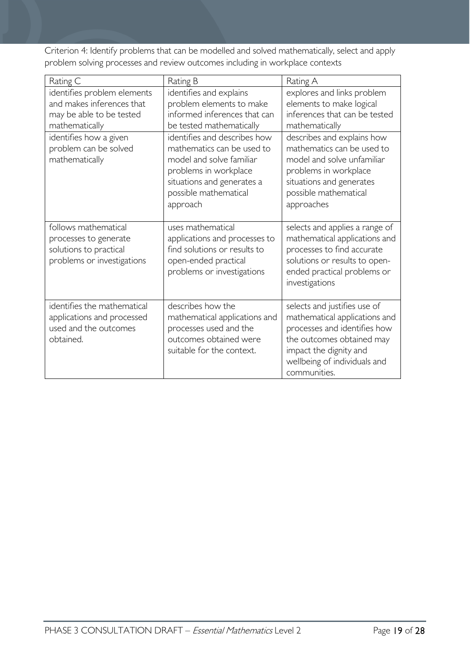Criterion 4: Identify problems that can be modelled and solved mathematically, select and apply problem solving processes and review outcomes including in workplace contexts

| Rating C                                                                                               | Rating B                                                                                                                                                                           | Rating A                                                                                                                                                                                             |
|--------------------------------------------------------------------------------------------------------|------------------------------------------------------------------------------------------------------------------------------------------------------------------------------------|------------------------------------------------------------------------------------------------------------------------------------------------------------------------------------------------------|
| identifies problem elements<br>and makes inferences that<br>may be able to be tested<br>mathematically | identifies and explains<br>problem elements to make<br>informed inferences that can<br>be tested mathematically                                                                    | explores and links problem<br>elements to make logical<br>inferences that can be tested<br>mathematically                                                                                            |
| identifies how a given<br>problem can be solved<br>mathematically                                      | identifies and describes how<br>mathematics can be used to<br>model and solve familiar<br>problems in workplace<br>situations and generates a<br>possible mathematical<br>approach | describes and explains how<br>mathematics can be used to<br>model and solve unfamiliar<br>problems in workplace<br>situations and generates<br>possible mathematical<br>approaches                   |
| follows mathematical<br>processes to generate<br>solutions to practical<br>problems or investigations  | uses mathematical<br>applications and processes to<br>find solutions or results to<br>open-ended practical<br>problems or investigations                                           | selects and applies a range of<br>mathematical applications and<br>processes to find accurate<br>solutions or results to open-<br>ended practical problems or<br>investigations                      |
| identifies the mathematical<br>applications and processed<br>used and the outcomes<br>obtained.        | describes how the<br>mathematical applications and<br>processes used and the<br>outcomes obtained were<br>suitable for the context.                                                | selects and justifies use of<br>mathematical applications and<br>processes and identifies how<br>the outcomes obtained may<br>impact the dignity and<br>wellbeing of individuals and<br>communities. |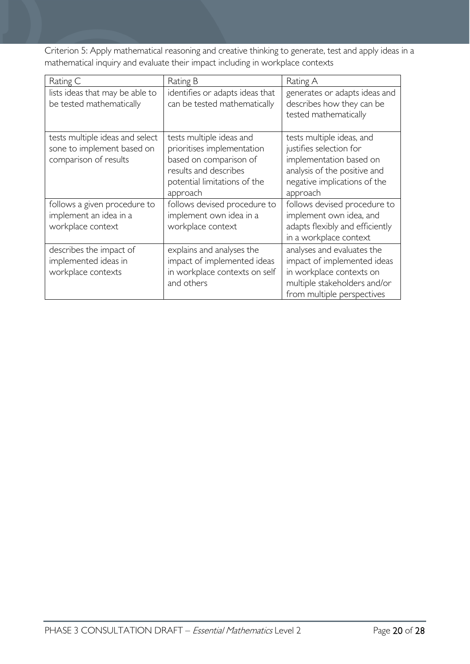Criterion 5: Apply mathematical reasoning and creative thinking to generate, test and apply ideas in a mathematical inquiry and evaluate their impact including in workplace contexts

| Rating C                                                                               | Rating B                                                                                                                                              | Rating A                                                                                                                                                    |
|----------------------------------------------------------------------------------------|-------------------------------------------------------------------------------------------------------------------------------------------------------|-------------------------------------------------------------------------------------------------------------------------------------------------------------|
| lists ideas that may be able to<br>be tested mathematically                            | identifies or adapts ideas that<br>can be tested mathematically                                                                                       | generates or adapts ideas and<br>describes how they can be<br>tested mathematically                                                                         |
| tests multiple ideas and select<br>sone to implement based on<br>comparison of results | tests multiple ideas and<br>prioritises implementation<br>based on comparison of<br>results and describes<br>potential limitations of the<br>approach | tests multiple ideas, and<br>justifies selection for<br>implementation based on<br>analysis of the positive and<br>negative implications of the<br>approach |
| follows a given procedure to<br>implement an idea in a<br>workplace context            | follows devised procedure to<br>implement own idea in a<br>workplace context                                                                          | follows devised procedure to<br>implement own idea, and<br>adapts flexibly and efficiently<br>in a workplace context                                        |
| describes the impact of<br>implemented ideas in<br>workplace contexts                  | explains and analyses the<br>impact of implemented ideas<br>in workplace contexts on self<br>and others                                               | analyses and evaluates the<br>impact of implemented ideas<br>in workplace contexts on<br>multiple stakeholders and/or<br>from multiple perspectives         |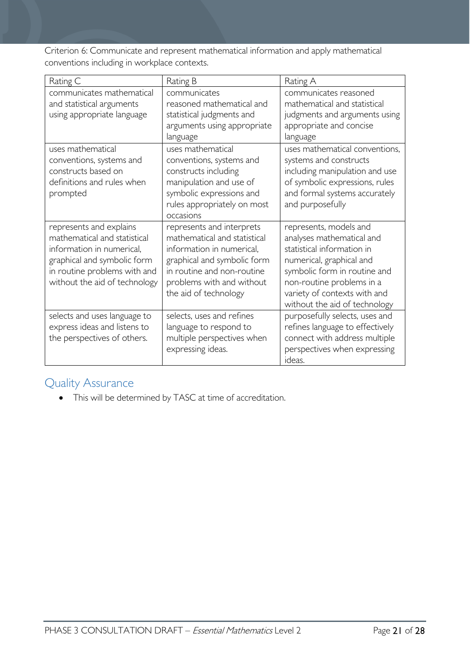Criterion 6: Communicate and represent mathematical information and apply mathematical conventions including in workplace contexts.

| Rating C                                                                                                                                                                             | Rating B                                                                                                                                                                                                  | Rating A                                                                                                                                                                                                                                    |
|--------------------------------------------------------------------------------------------------------------------------------------------------------------------------------------|-----------------------------------------------------------------------------------------------------------------------------------------------------------------------------------------------------------|---------------------------------------------------------------------------------------------------------------------------------------------------------------------------------------------------------------------------------------------|
| communicates mathematical<br>and statistical arguments<br>using appropriate language                                                                                                 | communicates<br>reasoned mathematical and<br>statistical judgments and<br>arguments using appropriate<br>language                                                                                         | communicates reasoned<br>mathematical and statistical<br>judgments and arguments using<br>appropriate and concise<br>language                                                                                                               |
| uses mathematical<br>conventions, systems and<br>constructs based on<br>definitions and rules when<br>prompted                                                                       | uses mathematical<br>conventions, systems and<br>constructs including<br>manipulation and use of<br>symbolic expressions and<br>rules appropriately on most<br>occasions                                  | uses mathematical conventions,<br>systems and constructs<br>including manipulation and use<br>of symbolic expressions, rules<br>and formal systems accurately<br>and purposefully                                                           |
| represents and explains<br>mathematical and statistical<br>information in numerical,<br>graphical and symbolic form<br>in routine problems with and<br>without the aid of technology | represents and interprets<br>mathematical and statistical<br>information in numerical,<br>graphical and symbolic form<br>in routine and non-routine<br>problems with and without<br>the aid of technology | represents, models and<br>analyses mathematical and<br>statistical information in<br>numerical, graphical and<br>symbolic form in routine and<br>non-routine problems in a<br>variety of contexts with and<br>without the aid of technology |
| selects and uses language to<br>express ideas and listens to<br>the perspectives of others.                                                                                          | selects, uses and refines<br>language to respond to<br>multiple perspectives when<br>expressing ideas.                                                                                                    | purposefully selects, uses and<br>refines language to effectively<br>connect with address multiple<br>perspectives when expressing<br>ideas.                                                                                                |

# <span id="page-20-0"></span>Quality Assurance

• This will be determined by TASC at time of accreditation.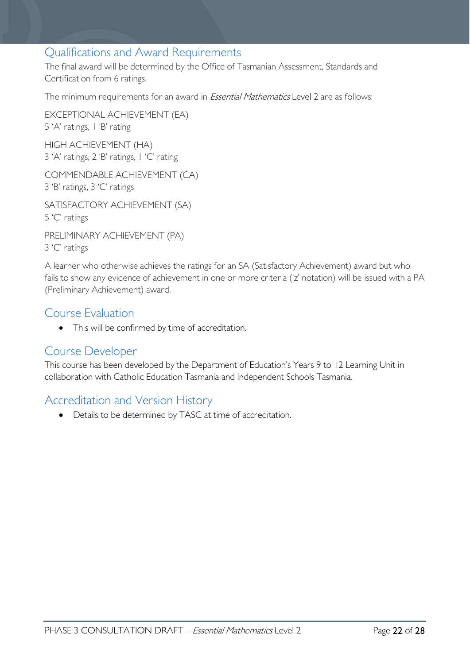# <span id="page-21-0"></span>Qualifications and Award Requirements

The final award will be determined by the Office of Tasmanian Assessment, Standards and Certification from 6 ratings.

The minimum requirements for an award in *Essential Mathematics* Level 2 are as follows:

EXCEPTIONAL ACHIEVEMENT (EA) 5 'A' ratings, 1 'B' rating HIGH ACHIEVEMENT (HA)

3 'A' ratings, 2 'B' ratings, 1 'C' rating

COMMENDABLE ACHIEVEMENT (CA) 3 'B' ratings, 3 'C' ratings

SATISFACTORY ACHIEVEMENT (SA) 5 'C' ratings

PRELIMINARY ACHIEVEMENT (PA) 3 'C' ratings

A learner who otherwise achieves the ratings for an SA (Satisfactory Achievement) award but who fails to show any evidence of achievement in one or more criteria ('z' notation) will be issued with a PA (Preliminary Achievement) award.

# <span id="page-21-1"></span>Course Evaluation

• This will be confirmed by time of accreditation.

# <span id="page-21-2"></span>Course Developer

This course has been developed by the Department of Education's Years 9 to 12 Learning Unit in collaboration with Catholic Education Tasmania and Independent Schools Tasmania.

# <span id="page-21-3"></span>Accreditation and Version History

• Details to be determined by TASC at time of accreditation.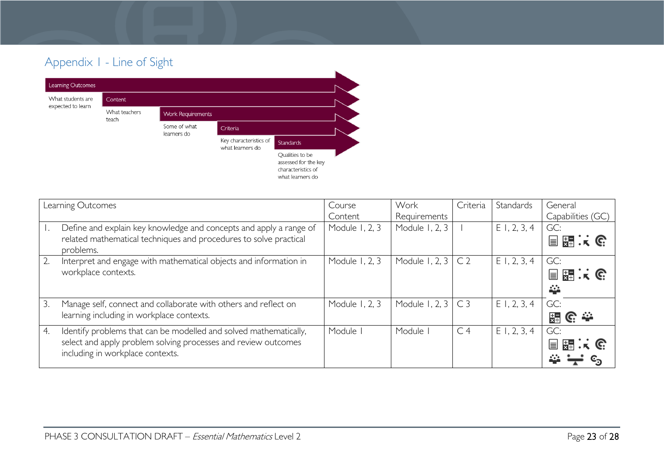# Appendix 1 - Line of Sight



<span id="page-22-0"></span>

|    | Learning Outcomes                                                                                                                                                       | Course<br>Content | Work<br>Requirements | Criteria       | Standards      | General<br>Capabilities (GC) |
|----|-------------------------------------------------------------------------------------------------------------------------------------------------------------------------|-------------------|----------------------|----------------|----------------|------------------------------|
|    | Define and explain key knowledge and concepts and apply a range of<br>related mathematical techniques and procedures to solve practical<br>problems.                    | Module 1, 2, 3    | Module 1, 2, 3       |                | $E$ 1, 2, 3, 4 | GC:<br>目闘スで                  |
| 2. | Interpret and engage with mathematical objects and information in<br>workplace contexts.                                                                                | Module 1, 2, 3    | Module 1, 2, 3       | C <sub>2</sub> | $E$ 1, 2, 3, 4 | GC:<br>国語にG<br>挙             |
| 3. | Manage self, connect and collaborate with others and reflect on<br>learning including in workplace contexts.                                                            | Module 1, 2, 3    | Module 1, 2, 3       | C <sub>3</sub> | $E$ 1, 2, 3, 4 | GC:<br>불<br>© ÷              |
| 4. | Identify problems that can be modelled and solved mathematically,<br>select and apply problem solving processes and review outcomes<br>including in workplace contexts. | Module I          | Module               | C <sub>4</sub> | E1, 2, 3, 4    | GC:<br>開まで<br>$\equiv$       |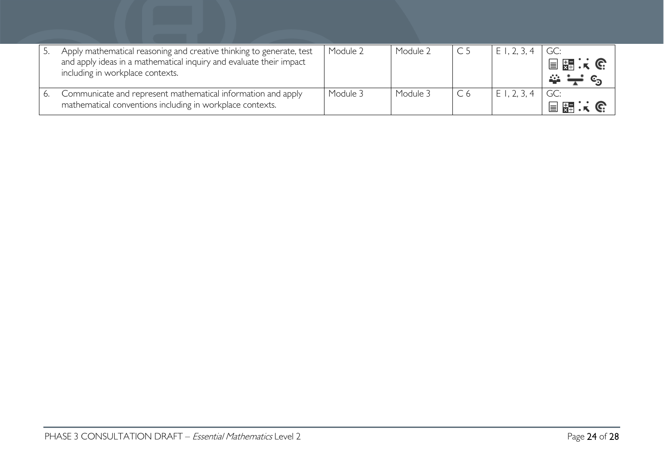| Apply mathematical reasoning and creative thinking to generate, test<br>and apply ideas in a mathematical inquiry and evaluate their impact<br>including in workplace contexts. | Module 2 | Module 2 |    | E1, 2, 3 | GC:<br>目器:除 |
|---------------------------------------------------------------------------------------------------------------------------------------------------------------------------------|----------|----------|----|----------|-------------|
| Communicate and represent mathematical information and apply<br>mathematical conventions including in workplace contexts.                                                       | Module 3 | Module 3 | C6 | ΕI       | ■ 閑 …       |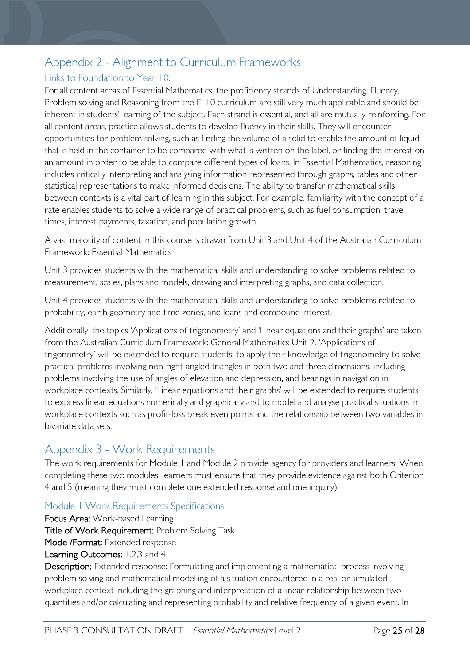# <span id="page-24-0"></span>Appendix 2 - Alignment to Curriculum Frameworks

# <span id="page-24-1"></span>Links to Foundation to Year 10:

For all content areas of Essential Mathematics, the proficiency strands of Understanding, Fluency, Problem solving and Reasoning from the F–10 curriculum are still very much applicable and should be inherent in students' learning of the subject. Each strand is essential, and all are mutually reinforcing. For all content areas, practice allows students to develop fluency in their skills. They will encounter opportunities for problem solving, such as finding the volume of a solid to enable the amount of liquid that is held in the container to be compared with what is written on the label, or finding the interest on an amount in order to be able to compare different types of loans. In Essential Mathematics, reasoning includes critically interpreting and analysing information represented through graphs, tables and other statistical representations to make informed decisions. The ability to transfer mathematical skills between contexts is a vital part of learning in this subject. For example, familiarity with the concept of a rate enables students to solve a wide range of practical problems, such as fuel consumption, travel times, interest payments, taxation, and population growth.

A vast majority of content in this course is drawn from Unit 3 and Unit 4 of the Australian Curriculum Framework: Essential Mathematics

Unit 3 provides students with the mathematical skills and understanding to solve problems related to measurement, scales, plans and models, drawing and interpreting graphs, and data collection.

Unit 4 provides students with the mathematical skills and understanding to solve problems related to probability, earth geometry and time zones, and loans and compound interest.

Additionally, the topics 'Applications of trigonometry' and 'Linear equations and their graphs' are taken from the Australian Curriculum Framework: General Mathematics Unit 2. 'Applications of trigonometry' will be extended to require students' to apply their knowledge of trigonometry to solve practical problems involving non-right-angled triangles in both two and three dimensions, including problems involving the use of angles of elevation and depression, and bearings in navigation in workplace contexts. Similarly, 'Linear equations and their graphs' will be extended to require students to express linear equations numerically and graphically and to model and analyse practical situations in workplace contexts such as profit-loss break even points and the relationship between two variables in bivariate data sets.

# <span id="page-24-2"></span>Appendix 3 - Work Requirements

The work requirements for Module 1 and Module 2 provide agency for providers and learners. When completing these two modules, learners must ensure that they provide evidence against both Criterion 4 and 5 (meaning they must complete one extended response and one inquiry).

# <span id="page-24-3"></span>Module 1 Work Requirements Specifications

Focus Area: Work-based Learning

Title of Work Requirement: Problem Solving Task

Mode /Format: Extended response

### Learning Outcomes: 1,2,3 and 4

Description: Extended response: Formulating and implementing a mathematical process involving problem solving and mathematical modelling of a situation encountered in a real or simulated workplace context including the graphing and interpretation of a linear relationship between two quantities and/or calculating and representing probability and relative frequency of a given event. In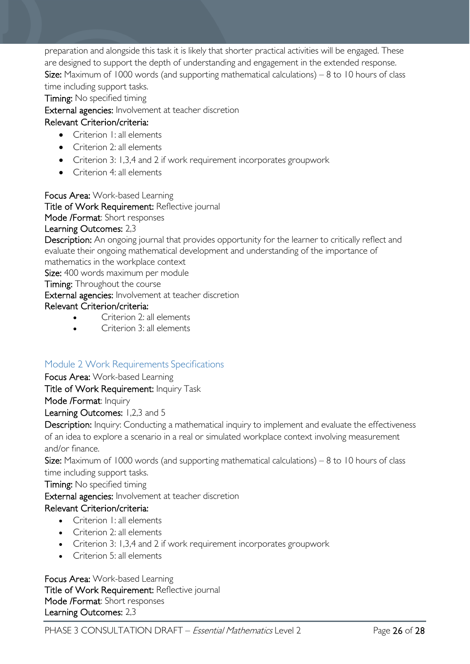preparation and alongside this task it is likely that shorter practical activities will be engaged. These are designed to support the depth of understanding and engagement in the extended response. Size: Maximum of 1000 words (and supporting mathematical calculations)  $-8$  to 10 hours of class time including support tasks.

Timing: No specified timing

External agencies: Involvement at teacher discretion

### Relevant Criterion/criteria:

- Criterion I: all elements
- Criterion 2: all elements
- Criterion 3: 1,3,4 and 2 if work requirement incorporates groupwork
- Criterion 4: all elements

Focus Area: Work-based Learning

Title of Work Requirement: Reflective journal

Mode /Format: Short responses

### Learning Outcomes: 2,3

Description: An ongoing journal that provides opportunity for the learner to critically reflect and evaluate their ongoing mathematical development and understanding of the importance of mathematics in the workplace context

Size: 400 words maximum per module

**Timing:** Throughout the course

External agencies: Involvement at teacher discretion

### Relevant Criterion/criteria:

- Criterion 2: all elements
- Criterion 3: all elements

# <span id="page-25-0"></span>Module 2 Work Requirements Specifications

### Focus Area: Work-based Learning

Title of Work Requirement: Inquiry Task

Mode /Format: Inquiry

### Learning Outcomes: 1,2,3 and 5

Description: Inquiry: Conducting a mathematical inquiry to implement and evaluate the effectiveness of an idea to explore a scenario in a real or simulated workplace context involving measurement and/or finance.

**Size:** Maximum of 1000 words (and supporting mathematical calculations)  $-8$  to 10 hours of class time including support tasks.

Timing: No specified timing

External agencies: Involvement at teacher discretion

# Relevant Criterion/criteria:

- Criterion I: all elements
- Criterion 2: all elements
- Criterion 3: 1,3,4 and 2 if work requirement incorporates groupwork
- Criterion 5: all elements

### Focus Area: Work-based Learning Title of Work Requirement: Reflective journal Mode /Format: Short responses Learning Outcomes: 2,3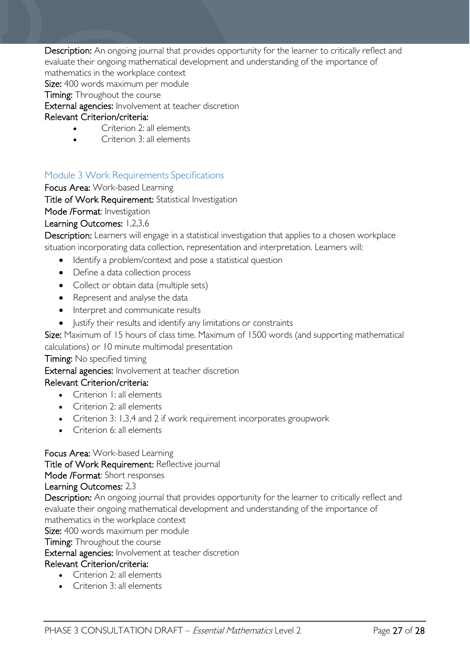Description: An ongoing journal that provides opportunity for the learner to critically reflect and evaluate their ongoing mathematical development and understanding of the importance of mathematics in the workplace context

Size: 400 words maximum per module

**Timing:** Throughout the course

External agencies: Involvement at teacher discretion

### Relevant Criterion/criteria:

- Criterion 2: all elements
- Criterion 3: all elements

# <span id="page-26-0"></span>Module 3 Work Requirements Specifications

Focus Area: Work-based Learning

Title of Work Requirement: Statistical Investigation

Mode /Format: Investigation

### Learning Outcomes: 1,2,3,6

Description: Learners will engage in a statistical investigation that applies to a chosen workplace situation incorporating data collection, representation and interpretation. Learners will:

- Identify a problem/context and pose a statistical question
- Define a data collection process
- Collect or obtain data (multiple sets)
- Represent and analyse the data
- Interpret and communicate results
- Justify their results and identify any limitations or constraints

Size: Maximum of 15 hours of class time. Maximum of 1500 words (and supporting mathematical

#### calculations) or 10 minute multimodal presentation

# Timing: No specified timing

External agencies: Involvement at teacher discretion

#### Relevant Criterion/criteria:

- Criterion I<sup>I</sup> all elements
- Criterion 2: all elements
- Criterion 3: 1,3,4 and 2 if work requirement incorporates groupwork
- Criterion 6: all elements

### Focus Area: Work-based Learning

Title of Work Requirement: Reflective journal

Mode /Format: Short responses

#### Learning Outcomes: 2,3

Description: An ongoing journal that provides opportunity for the learner to critically reflect and evaluate their ongoing mathematical development and understanding of the importance of mathematics in the workplace context

Size: 400 words maximum per module

**Timing:** Throughout the course

External agencies: Involvement at teacher discretion

### Relevant Criterion/criteria:

- Criterion 2: all elements
- Criterion 3: all elements